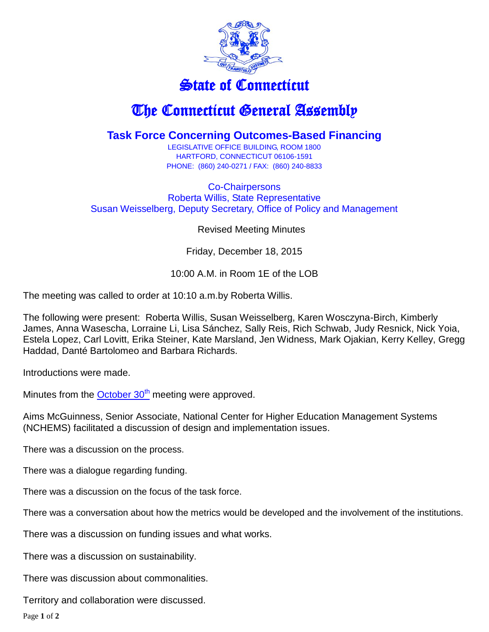

## State of Connecticut

## The Connecticut General Assembly

## **Task Force Concerning Outcomes-Based Financing**

LEGISLATIVE OFFICE BUILDING, ROOM 1800 HARTFORD, CONNECTICUT 06106-1591 PHONE: (860) 240-0271 / FAX: (860) 240-8833

Co-Chairpersons Roberta Willis, State Representative Susan Weisselberg, Deputy Secretary, Office of Policy and Management

Revised Meeting Minutes

Friday, December 18, 2015

## 10:00 A.M. in Room 1E of the LOB

The meeting was called to order at 10:10 a.m.by Roberta Willis.

The following were present: Roberta Willis, Susan Weisselberg, Karen Wosczyna-Birch, Kimberly James, Anna Wasescha, Lorraine Li, Lisa Sánchez, Sally Reis, Rich Schwab, Judy Resnick, Nick Yoia, Estela Lopez, Carl Lovitt, Erika Steiner, Kate Marsland, Jen Widness, Mark Ojakian, Kerry Kelley, Gregg Haddad, Danté Bartolomeo and Barbara Richards.

Introductions were made.

Minutes from the  $October 30<sup>th</sup> meeting were approved.$ 

Aims McGuinness, Senior Associate, National Center for Higher Education Management Systems (NCHEMS) facilitated a discussion of design and implementation issues.

There was a discussion on the process.

There was a dialogue regarding funding.

There was a discussion on the focus of the task force.

There was a conversation about how the metrics would be developed and the involvement of the institutions.

There was a discussion on funding issues and what works.

There was a discussion on sustainability.

There was discussion about commonalities.

Territory and collaboration were discussed.

Page **1** of **2**